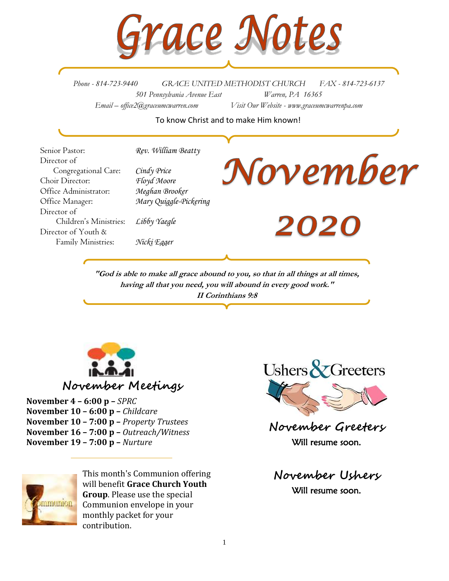

*Phone - 814-723-9440 GRACE UNITED METHODIST CHURCH FAX - 814-723-6137 501 Pennsylvania Avenue East Warren, PA 16365 Email – office2@graceumcwarren.com Visit Our Website - www.graceumcwarrenpa.com* 

## To know Christ and to make Him known!

Senior Pastor: *Rev. William Beatty* Director of Congregational Care: *Cindy Price* Choir Director: *Floyd Moore* Office Administrator: *Meghan Brooker* Office Manager: *Mary Quiggle-Pickering* Director of Children's Ministries: *Libby Yaegle* Director of Youth & Family Ministries: *Nicki Egger*

# November

**2020** 

**"God is able to make all grace abound to you, so that in all things at all times, having all that you need, you will abound in every good work." II Corinthians 9:8**



**November Meetings**

**November 4 – 6:00 p –** *SPRC* **November 10 – 6:00 p –** *Childcare* **November 10 – 7:00 p –** *Property Trustees* **November 16 – 7:00 p –** *Outreach/Witness* **November 19 – 7:00 p –** *Nurture*



This month's Communion offering will benefit **Grace Church Youth Group**. Please use the special Communion envelope in your monthly packet for your contribution.



**November Greeters** Will resume soon.

**November Ushers** Will resume soon.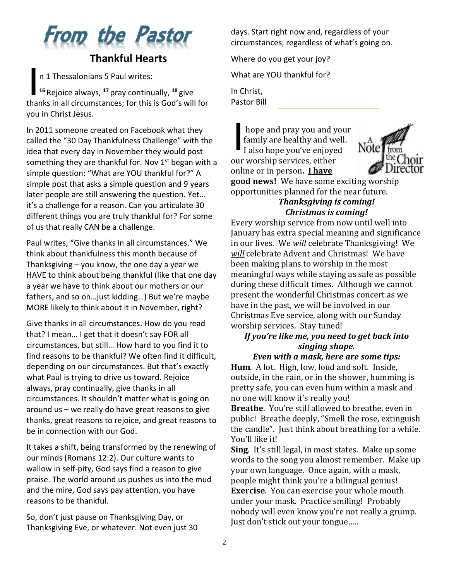

# **Thankful Hearts**

n 1 Thessalonians 5 Paul writes:

**16** Rejoice always, <sup>17</sup> pray continually, <sup>18</sup> give thanks in all circumstances; for this is God's will for you in Christ Jesus.

In 2011 someone created on Facebook what they called the "30 Day Thankfulness Challenge" with the idea that every day in November they would post something they are thankful for. Nov  $1<sup>st</sup>$  began with a simple question: "What are YOU thankful for?" A simple post that asks a simple question and 9 years later people are still answering the question. Yet... it's a challenge for a reason. Can you articulate 30 different things you are truly thankful for? For some of us that really CAN be a challenge.

Paul writes, "Give thanks in all circumstances." We think about thankfulness this month because of Thanksgiving – you know, the one day a year we HAVE to think about being thankful (like that one day a year we have to think about our mothers or our fathers, and so on…just kidding…) But we're maybe MORE likely to think about it in November, right?

Give thanks in all circumstances. How do you read that? I mean… I get that it doesn't say FOR all circumstances, but still… How hard to you find it to find reasons to be thankful? We often find it difficult, depending on our circumstances. But that's exactly what Paul is trying to drive us toward. Rejoice always, pray continually, give thanks in all circumstances. It shouldn't matter what is going on around us – we really do have great reasons to give thanks, great reasons to rejoice, and great reasons to be in connection with our God.

It takes a shift, being transformed by the renewing of our minds (Romans 12:2). Our culture wants to wallow in self-pity, God says find a reason to give praise. The world around us pushes us into the mud and the mire, God says pay attention, you have reasons to be thankful.

So, don't just pause on Thanksgiving Day, or Thanksgiving Eve, or whatever. Not even just 30 days. Start right now and, regardless of your circumstances, regardless of what's going on.

Where do you get your joy?

What are YOU thankful for?

In Christ, Pastor Bill

hope and pray you and your family are healthy and well. I also hope you've enjoyed our worship services, either online or in person**. I have**  I



**good news!** We have some exciting worship opportunities planned for the near future. *Thanksgiving is coming!*

# *Christmas is coming!*

Every worship service from now until well into January has extra special meaning and significance in our lives. We *will* celebrate Thanksgiving! We *will* celebrate Advent and Christmas! We have been making plans to worship in the most meaningful ways while staying as safe as possible during these difficult times. Although we cannot present the wonderful Christmas concert as we have in the past, we will be involved in our Christmas Eve service, along with our Sunday worship services. Stay tuned!

# *If you're like me, you need to get back into singing shape.*

# *Even with a mask, here are some tips:*

**Hum**. A lot. High, low, loud and soft. Inside, outside, in the rain, or in the shower, humming is pretty safe, you can even hum within a mask and no one will know it's really you!

**Breathe**. You're still allowed to breathe, even in public! Breathe deeply, "Smell the rose, extinguish the candle". Just think about breathing for a while. You'll like it!

**Sing**. It's still legal, in most states. Make up some words to the song you almost remember. Make up your own language. Once again, with a mask, people might think you're a bilingual genius! **Exercise**. You can exercise your whole mouth under your mask. Practice smiling! Probably nobody will even know you're not really a grump. Just don't stick out your tongue…..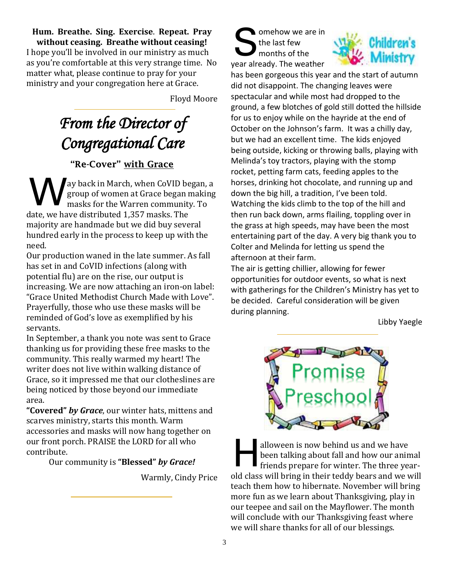**Hum. Breathe. Sing. Exercise**. **Repeat. Pray without ceasing. Breathe without ceasing!** I hope you'll be involved in our ministry as much as you're comfortable at this very strange time. No matter what, please continue to pray for your ministry and your congregation here at Grace.

Floyd Moore

# *From the Director of Congregational Care*

# "Re-Cover" with Grace

ay back in March, when CoVID began, a group of women at Grace began making masks for the Warren community. To date, we have distributed 1,357 masks. The majority are handmade but we did buy several hundred early in the process to keep up with the need. W

Our production waned in the late summer. As fall has set in and CoVID infections (along with potential flu) are on the rise, our output is increasing. We are now attaching an iron-on label: "Grace United Methodist Church Made with Love". Prayerfully, those who use these masks will be reminded of God's love as exemplified by his servants.

In September, a thank you note was sent to Grace thanking us for providing these free masks to the community. This really warmed my heart! The writer does not live within walking distance of Grace, so it impressed me that our clotheslines are being noticed by those beyond our immediate area.

**"Covered"** *by Grace*, our winter hats, mittens and scarves ministry, starts this month. Warm accessories and masks will now hang together on our front porch. PRAISE the LORD for all who contribute.

Our community is **"Blessed"** *by Grace!*

Warmly, Cindy Price

omehow we are in the last few months of the year already. The weather S



has been gorgeous this year and the start of autumn did not disappoint. The changing leaves were spectacular and while most had dropped to the ground, a few blotches of gold still dotted the hillside for us to enjoy while on the hayride at the end of October on the Johnson's farm. It was a chilly day, but we had an excellent time. The kids enjoyed being outside, kicking or throwing balls, playing with Melinda's toy tractors, playing with the stomp rocket, petting farm cats, feeding apples to the horses, drinking hot chocolate, and running up and down the big hill, a tradition, I've been told. Watching the kids climb to the top of the hill and then run back down, arms flailing, toppling over in the grass at high speeds, may have been the most entertaining part of the day. A very big thank you to Colter and Melinda for letting us spend the afternoon at their farm.

The air is getting chillier, allowing for fewer opportunities for outdoor events, so what is next with gatherings for the Children's Ministry has yet to be decided. Careful consideration will be given during planning.

Libby Yaegle



alloween is now behind us and we have been talking about fall and how our animal friends prepare for winter. The three yearold class will bring in their teddy bears and we will teach them how to hibernate. November will bring more fun as we learn about Thanksgiving, play in our teepee and sail on the Mayflower. The month will conclude with our Thanksgiving feast where we will share thanks for all of our blessings. H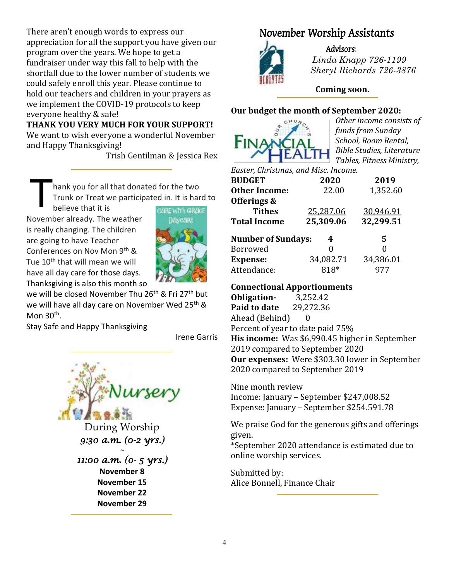There aren't enough words to express our appreciation for all the support you have given our program over the years. We hope to get a fundraiser under way this fall to help with the shortfall due to the lower number of students we could safely enroll this year. Please continue to hold our teachers and children in your prayers as we implement the COVID-19 protocols to keep everyone healthy & safe!

**THANK YOU VERY MUCH FOR YOUR SUPPORT!** We want to wish everyone a wonderful November and Happy Thanksgiving!

Trish Gentilman & Jessica Rex

hank you for all that donated for the two Trunk or Treat we participated in. It is hard to believe that it is T

November already. The weather is really changing. The children are going to have Teacher Conferences on Nov Mon 9th & Tue 10<sup>th</sup> that will mean we will have all day care for those days. Thanksgiving is also this month so



we will be closed November Thu 26<sup>th</sup> & Fri 27<sup>th</sup> but we will have all day care on November Wed 25<sup>th</sup> & Mon 30<sup>th</sup>.

Stay Safe and Happy Thanksgiving

Irene Garris



During Worship *9:30 a.m. (0-2 yrs.)* 

*11:00 a.m. (0- 5 yrs.)*  **November 8 November 15 November 22 November 29**

*~* 

# November Worship Assistants



Advisors:

 *Linda Knapp 726-1199 Sheryl Richards 726-3876*

# **Coming soon.**

# **Our budget the month of September 2020:**



*Other income consists of funds from Sunday School, Room Rental, Bible Studies, Literature Tables, Fitness Ministry,* 

*Easter, Christmas, and Misc. Income.*

| <b>BUDGET</b>             | 2020      | 2019      |
|---------------------------|-----------|-----------|
| <b>Other Income:</b>      | 22.00     | 1,352.60  |
| Offerings &               |           |           |
| <b>Tithes</b>             | 25,287.06 | 30,946.91 |
| <b>Total Income</b>       | 25,309.06 | 32,299.51 |
| <b>Number of Sundays:</b> | 4         | 5         |
| Borrowed                  | 0         | 0         |
| <b>Expense:</b>           | 34,082.71 | 34,386.01 |
| Attendance:               | 818*      | 977       |

# **Connectional Apportionments**

**Obligation-** 3,252.42 **Paid to date** 29,272.36 Ahead (Behind) 0 Percent of year to date paid 75% **His income:** Was \$6,990.45 higher in September 2019 compared to September 2020 **Our expenses:** Were \$303.30 lower in September 2020 compared to September 2019

Nine month review Income: January – September \$247,008.52 Expense: January – September \$254.591.78

We praise God for the generous gifts and offerings given.

\*September 2020 attendance is estimated due to online worship services.

Submitted by: Alice Bonnell, Finance Chair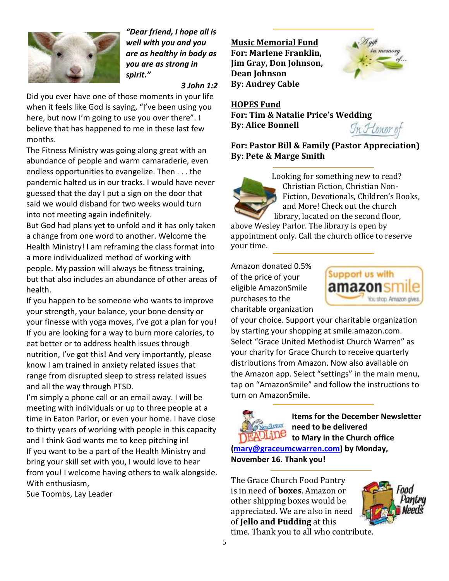

*"Dear friend, I hope all is well with you and you are as healthy in body as you are as strong in spirit."*

### *3 John 1:2*

Did you ever have one of those moments in your life when it feels like God is saying, "I've been using you here, but now I'm going to use you over there". I believe that has happened to me in these last few months.

The Fitness Ministry was going along great with an abundance of people and warm camaraderie, even endless opportunities to evangelize. Then . . . the pandemic halted us in our tracks. I would have never guessed that the day I put a sign on the door that said we would disband for two weeks would turn into not meeting again indefinitely.

But God had plans yet to unfold and it has only taken a change from one word to another. Welcome the Health Ministry! I am reframing the class format into a more individualized method of working with people. My passion will always be fitness training, but that also includes an abundance of other areas of health.

If you happen to be someone who wants to improve your strength, your balance, your bone density or your finesse with yoga moves, I've got a plan for you! If you are looking for a way to burn more calories, to eat better or to address health issues through nutrition, I've got this! And very importantly, please know I am trained in anxiety related issues that range from disrupted sleep to stress related issues and all the way through PTSD.

I'm simply a phone call or an email away. I will be meeting with individuals or up to three people at a time in Eaton Parlor, or even your home. I have close to thirty years of working with people in this capacity and I think God wants me to keep pitching in! If you want to be a part of the Health Ministry and bring your skill set with you, I would love to hear from you! I welcome having others to walk alongside. With enthusiasm,

Sue Toombs, Lay Leader

**Music Memorial Fund For: Marlene Franklin, Jim Gray, Don Johnson, Dean Johnson By: Audrey Cable**



# **HOPES Fund**

**For: Tim & Natalie Price's Wedding By: Alice Bonnell**



**For: Pastor Bill & Family (Pastor Appreciation) By: Pete & Marge Smith**



Looking for something new to read? Christian Fiction, Christian Non-Fiction, Devotionals, Children's Books, and More! Check out the church library, located on the second floor,

above Wesley Parlor. The library is open by appointment only. Call the church office to reserve your time.

Amazon donated 0.5% of the price of your eligible AmazonSmile purchases to the charitable organization



of your choice. Support your charitable organization by starting your shopping at smile.amazon.com. Select "Grace United Methodist Church Warren" as your charity for Grace Church to receive quarterly distributions from Amazon. Now also available on the Amazon app. Select "settings" in the main menu, tap on "AmazonSmile" and follow the instructions to turn on AmazonSmile.



**Items for the December Newsletter need to be delivered to Mary in the Church office**

**[\(mary@graceumcwarren.com\)](mailto:mary@graceumcwarren.com) by Monday, November 16. Thank you!**

The Grace Church Food Pantry is in need of **boxes**. Amazon or other shipping boxes would be appreciated. We are also in need of **Jello and Pudding** at this



time. Thank you to all who contribute.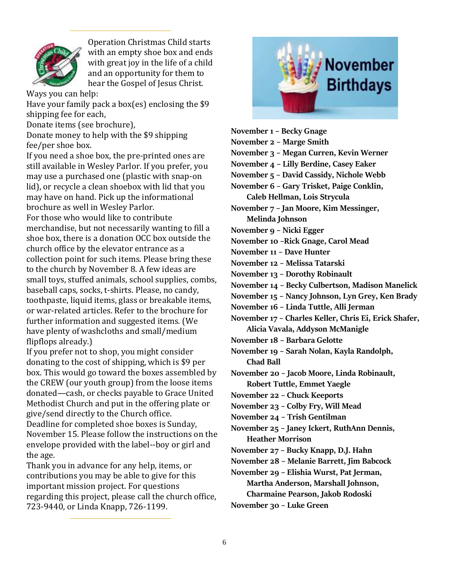

Operation Christmas Child starts with an empty shoe box and ends with great joy in the life of a child and an opportunity for them to hear the Gospel of Jesus Christ.

Ways you can help:

Have your family pack a box(es) enclosing the \$9 shipping fee for each,

Donate items (see brochure),

Donate money to help with the \$9 shipping fee/per shoe box.

If you need a shoe box, the pre-printed ones are still available in Wesley Parlor. If you prefer, you may use a purchased one (plastic with snap-on lid), or recycle a clean shoebox with lid that you may have on hand. Pick up the informational brochure as well in Wesley Parlor.

For those who would like to contribute merchandise, but not necessarily wanting to fill a shoe box, there is a donation OCC box outside the church office by the elevator entrance as a collection point for such items. Please bring these to the church by November 8. A few ideas are small toys, stuffed animals, school supplies, combs, baseball caps, socks, t-shirts. Please, no candy, toothpaste, liquid items, glass or breakable items, or war-related articles. Refer to the brochure for further information and suggested items. (We have plenty of washcloths and small/medium flipflops already.)

If you prefer not to shop, you might consider donating to the cost of shipping, which is \$9 per box. This would go toward the boxes assembled by the CREW (our youth group) from the loose items donated—cash, or checks payable to Grace United Methodist Church and put in the offering plate or give/send directly to the Church office. Deadline for completed shoe boxes is Sunday, November 15. Please follow the instructions on the envelope provided with the label--boy or girl and the age.

Thank you in advance for any help, items, or contributions you may be able to give for this important mission project. For questions regarding this project, please call the church office, 723-9440, or Linda Knapp, 726-1199.



**November 1 – Becky Gnage**

**November 2 – Marge Smith**

**November 3 – Megan Curren, Kevin Werner**

**November 4 – Lilly Berdine, Casey Eaker**

**November 5 – David Cassidy, Nichole Webb**

**November 6 – Gary Trisket, Paige Conklin, Caleb Hellman, Lois Strycula**

**November 7 – Jan Moore, Kim Messinger, Melinda Johnson**

**November 9 – Nicki Egger**

**November 10 –Rick Gnage, Carol Mead**

**November 11 – Dave Hunter**

**November 12 – Melissa Tatarski**

**November 13 – Dorothy Robinault**

**November 14 – Becky Culbertson, Madison Manelick**

**November 15 – Nancy Johnson, Lyn Grey, Ken Brady**

**November 16 – Linda Tuttle, Alli Jerman**

**November 17 – Charles Keller, Chris Ei, Erick Shafer, Alicia Vavala, Addyson McManigle**

**November 18 – Barbara Gelotte**

**November 19 – Sarah Nolan, Kayla Randolph, Chad Ball**

**November 20 – Jacob Moore, Linda Robinault, Robert Tuttle, Emmet Yaegle**

**November 22 – Chuck Keeports**

**November 23 – Colby Fry, Will Mead**

**November 24 – Trish Gentilman**

**November 25 – Janey Ickert, RuthAnn Dennis, Heather Morrison**

- **November 27 – Bucky Knapp, D.J. Hahn**
- **November 28 – Melanie Barrett, Jim Babcock**
- **November 29 – Elishia Wurst, Pat Jerman,**

**Martha Anderson, Marshall Johnson,** 

**Charmaine Pearson, Jakob Rodoski**

**November 30 – Luke Green**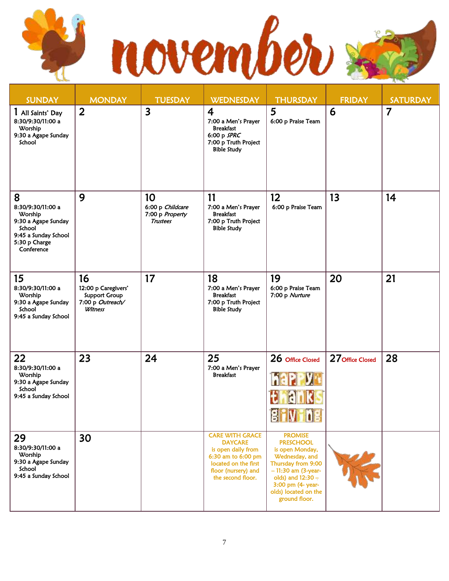

| <b>SUNDAY</b>                                                                                                             | <b>MONDAY</b>                                                                    | <b>TUESDAY</b>                                               | <b>WEDNESDAY</b>                                                                                                                                         | <b>THURSDAY</b>                                                                                                                                                                                            | <b>FRIDAY</b>    | <b>SATURDAY</b> |
|---------------------------------------------------------------------------------------------------------------------------|----------------------------------------------------------------------------------|--------------------------------------------------------------|----------------------------------------------------------------------------------------------------------------------------------------------------------|------------------------------------------------------------------------------------------------------------------------------------------------------------------------------------------------------------|------------------|-----------------|
| I All Saints' Day<br>8:30/9:30/11:00 a<br>Worship<br>9:30 a Agape Sunday<br>School                                        | $\overline{2}$                                                                   | $\overline{\mathbf{3}}$                                      | $\overline{\mathbf{4}}$<br>7:00 a Men's Prayer<br><b>Breakfast</b><br>6:00 p SPRC<br>7:00 p Truth Project<br><b>Bible Study</b>                          | 5<br>6:00 p Praise Team                                                                                                                                                                                    | 6                | $\overline{7}$  |
| 8<br>8:30/9:30/11:00 a<br>Worship<br>9:30 a Agape Sunday<br>School<br>9:45 a Sunday School<br>5:30 p Charge<br>Conference | 9                                                                                | 10<br>6:00 p Childcare<br>7:00 p Property<br><b>Trustees</b> | 11<br>7:00 a Men's Prayer<br><b>Breakfast</b><br>7:00 p Truth Project<br><b>Bible Study</b>                                                              | 12<br>6:00 p Praise Team                                                                                                                                                                                   | 13               | 14              |
| 15<br>8:30/9:30/11:00 a<br>Worship<br>9:30 a Agape Sunday<br>School<br>9:45 a Sunday School                               | 16<br>12:00 p Caregivers'<br><b>Support Group</b><br>7:00 p Outreach/<br>Witness | 17                                                           | 18<br>7:00 a Men's Prayer<br><b>Breakfast</b><br>7:00 p Truth Project<br><b>Bible Study</b>                                                              | 19<br>6:00 p Praise Team<br>7:00 p Nurture                                                                                                                                                                 | 20               | 21              |
| 22<br>8:30/9:30/11:00 a<br>Worship<br>9:30 a Agape Sunday<br>School<br>9:45 a Sunday School                               | 23                                                                               | 24                                                           | 25<br>7:00 a Men's Prayer<br><b>Breakfast</b>                                                                                                            | 26 Office Closed<br>RI<br>n<br><u>e i strue</u>                                                                                                                                                            | 27 Office Closed | 28              |
| 29<br>8:30/9:30/11:00 a<br>Worship<br>9:30 a Agape Sunday<br>School<br>9:45 a Sunday School                               | 30                                                                               |                                                              | <b>CARE WITH GRACE</b><br><b>DAYCARE</b><br>is open daily from<br>6:30 am to 6:00 pm<br>located on the first<br>floor (nursery) and<br>the second floor. | <b>PROMISE</b><br><b>PRESCHOOL</b><br>is open Monday,<br>Wednesday, and<br>Thursday from 9:00<br>$-11:30$ am (3-year-<br>olds) and $12:30 -$<br>3:00 pm (4- year-<br>olds) located on the<br>ground floor. |                  |                 |